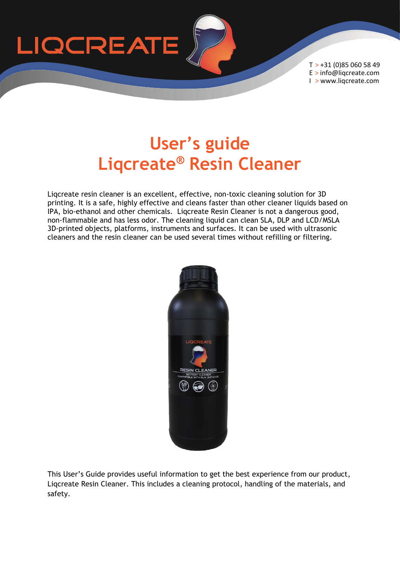

T > +31 (0)85 060 58 49 E > info@liqcreate.com I > www.liqcreate.com

# **User's guide Liqcreate® Resin Cleaner**

Liqcreate resin cleaner is an excellent, effective, non-toxic cleaning solution for 3D printing. It is a safe, highly effective and cleans faster than other cleaner liquids based on IPA, bio-ethanol and other chemicals. Liqcreate Resin Cleaner is not a dangerous good, non-flammable and has less odor. The cleaning liquid can clean SLA, DLP and LCD/MSLA 3D-printed objects, platforms, instruments and surfaces. It can be used with ultrasonic cleaners and the resin cleaner can be used several times without refilling or filtering.



This User's Guide provides useful information to get the best experience from our product, Liqcreate Resin Cleaner. This includes a cleaning protocol, handling of the materials, and safety.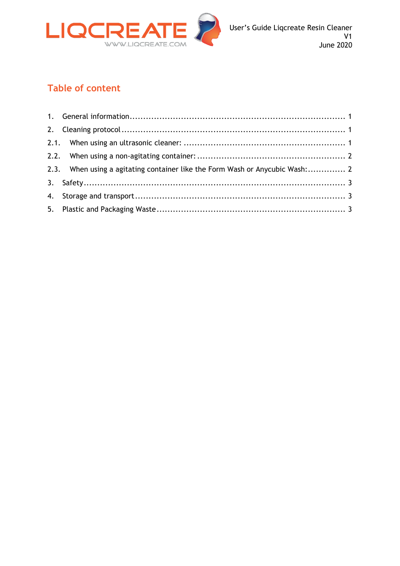

#### **Table of content**

| 2.3. When using a agitating container like the Form Wash or Anycubic Wash: 2 |  |
|------------------------------------------------------------------------------|--|
|                                                                              |  |
|                                                                              |  |
|                                                                              |  |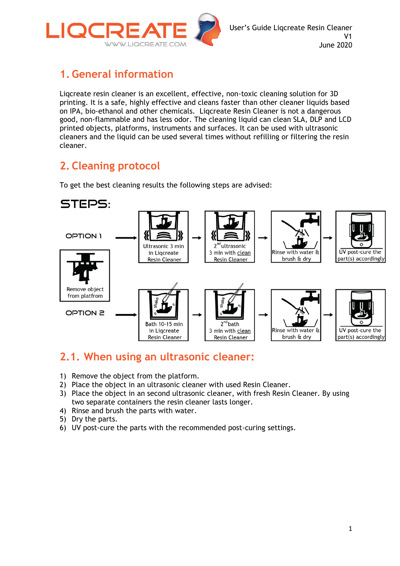

## <span id="page-2-0"></span>**1. General information**

Liqcreate resin cleaner is an excellent, effective, non-toxic cleaning solution for 3D printing. It is a safe, highly effective and cleans faster than other cleaner liquids based on IPA, bio-ethanol and other chemicals. Liqcreate Resin Cleaner is not a dangerous good, non-flammable and has less odor. The cleaning liquid can clean SLA, DLP and LCD printed objects, platforms, instruments and surfaces. It can be used with ultrasonic cleaners and the liquid can be used several times without refilling or filtering the resin cleaner.

## <span id="page-2-1"></span>**2. Cleaning protocol**

To get the best cleaning results the following steps are advised:



#### <span id="page-2-2"></span>**2.1. When using an ultrasonic cleaner:**

- 1) Remove the object from the platform.
- 2) Place the object in an ultrasonic cleaner with used Resin Cleaner.
- 3) Place the object in an second ultrasonic cleaner, with fresh Resin Cleaner. By using two separate containers the resin cleaner lasts longer.
- 4) Rinse and brush the parts with water.
- 5) Dry the parts.
- 6) UV post-cure the parts with the recommended post-curing settings.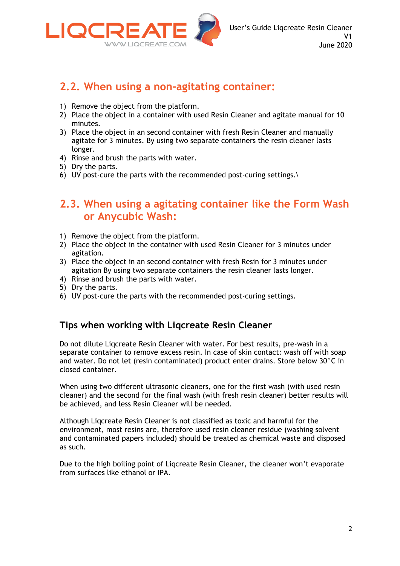

### <span id="page-3-0"></span>**2.2. When using a non-agitating container:**

- 1) Remove the object from the platform.
- 2) Place the object in a container with used Resin Cleaner and agitate manual for 10 minutes.
- 3) Place the object in an second container with fresh Resin Cleaner and manually agitate for 3 minutes. By using two separate containers the resin cleaner lasts longer.
- 4) Rinse and brush the parts with water.
- 5) Dry the parts.
- 6) UV post-cure the parts with the recommended post-curing settings.\

#### <span id="page-3-1"></span>**2.3. When using a agitating container like the Form Wash or Anycubic Wash:**

- 1) Remove the object from the platform.
- 2) Place the object in the container with used Resin Cleaner for 3 minutes under agitation.
- 3) Place the object in an second container with fresh Resin for 3 minutes under agitation By using two separate containers the resin cleaner lasts longer.
- 4) Rinse and brush the parts with water.
- 5) Dry the parts.
- 6) UV post-cure the parts with the recommended post-curing settings.

#### **Tips when working with Liqcreate Resin Cleaner**

Do not dilute Liqcreate Resin Cleaner with water. For best results, pre-wash in a separate container to remove excess resin. In case of skin contact: wash off with soap and water. Do not let (resin contaminated) product enter drains. Store below 30°C in closed container.

When using two different ultrasonic cleaners, one for the first wash (with used resin cleaner) and the second for the final wash (with fresh resin cleaner) better results will be achieved, and less Resin Cleaner will be needed.

Although Liqcreate Resin Cleaner is not classified as toxic and harmful for the environment, most resins are, therefore used resin cleaner residue (washing solvent and contaminated papers included) should be treated as chemical waste and disposed as such.

Due to the high boiling point of Liqcreate Resin Cleaner, the cleaner won't evaporate from surfaces like ethanol or IPA.